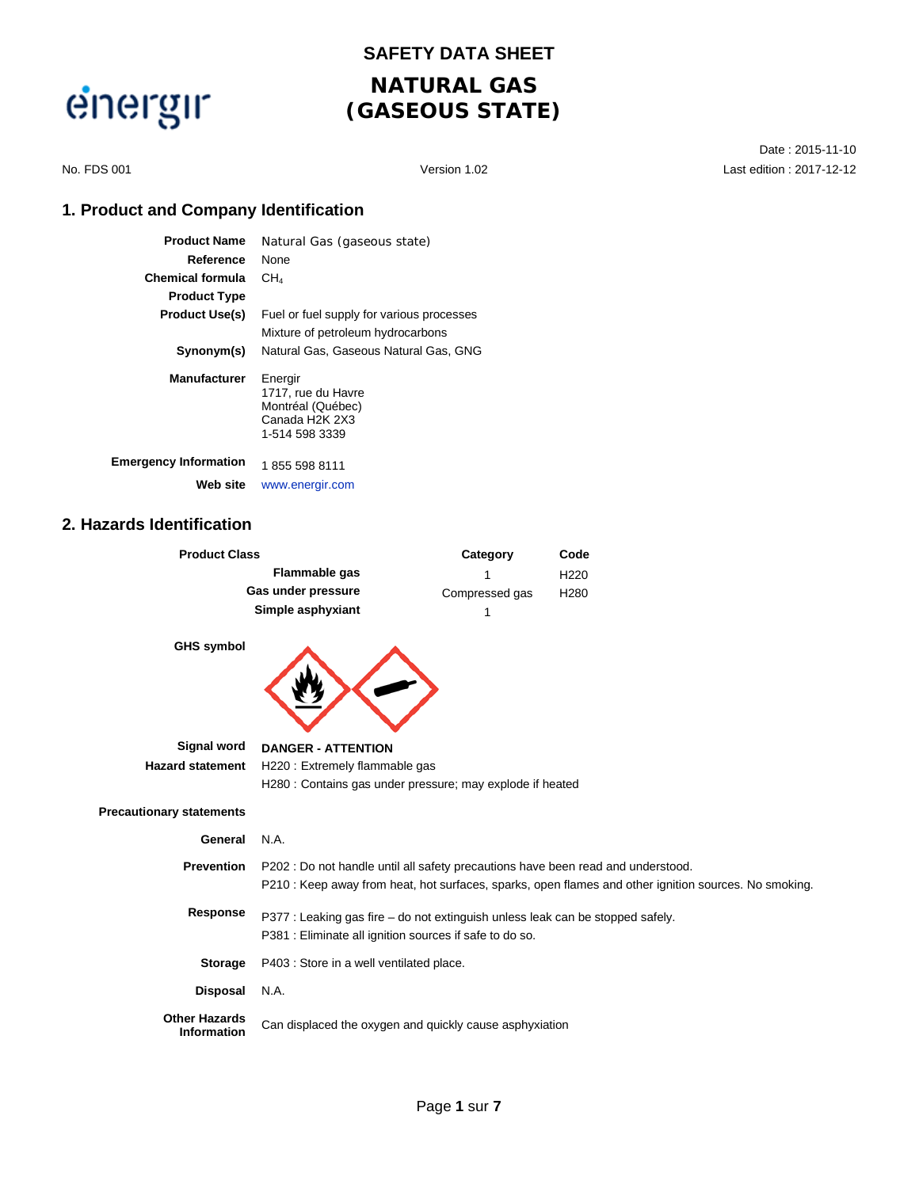

# **SAFETY DATA SHEET**

### **NATURAL GAS (GASEOUS STATE)**

Date : 2015-11-10 No. FDS 001 Version 1.02 Last edition : 2017-12-12

### **1. Product and Company Identification**

| <b>Product Name</b>          | Natural Gas (gaseous state)                                                            |
|------------------------------|----------------------------------------------------------------------------------------|
| Reference                    | None                                                                                   |
| <b>Chemical formula</b>      | CH4                                                                                    |
| <b>Product Type</b>          |                                                                                        |
| <b>Product Use(s)</b>        | Fuel or fuel supply for various processes                                              |
|                              | Mixture of petroleum hydrocarbons                                                      |
| Synonym(s)                   | Natural Gas. Gaseous Natural Gas. GNG                                                  |
| <b>Manufacturer</b>          | Energir<br>1717, rue du Havre<br>Montréal (Québec)<br>Canada H2K 2X3<br>1-514 598 3339 |
| <b>Emergency Information</b> | 1855 598 8111                                                                          |
| Web site                     | www.energir.com                                                                        |

#### **2. Hazards Identification**

| <b>Product Class</b> | Category       | Code             |
|----------------------|----------------|------------------|
| Flammable gas        |                | H <sub>220</sub> |
| Gas under pressure   | Compressed gas | H <sub>280</sub> |
| Simple asphyxiant    |                |                  |
| <b>GHS symbol</b>    |                |                  |

| <b>GHS Symbol</b>                          |                                                                                                       |
|--------------------------------------------|-------------------------------------------------------------------------------------------------------|
| Signal word                                | <b>DANGER - ATTENTION</b>                                                                             |
| <b>Hazard statement</b>                    | H220 : Extremely flammable gas                                                                        |
|                                            | H280 : Contains gas under pressure; may explode if heated                                             |
| <b>Precautionary statements</b>            |                                                                                                       |
| General                                    | N.A.                                                                                                  |
| <b>Prevention</b>                          | P202 : Do not handle until all safety precautions have been read and understood.                      |
|                                            | P210 : Keep away from heat, hot surfaces, sparks, open flames and other ignition sources. No smoking. |
| Response                                   | P377 : Leaking gas fire – do not extinguish unless leak can be stopped safely.                        |
|                                            | P381 : Eliminate all ignition sources if safe to do so.                                               |
| <b>Storage</b>                             | P403 : Store in a well ventilated place.                                                              |
| Disposal                                   | N.A.                                                                                                  |
| <b>Other Hazards</b><br><b>Information</b> | Can displaced the oxygen and quickly cause asphyxiation                                               |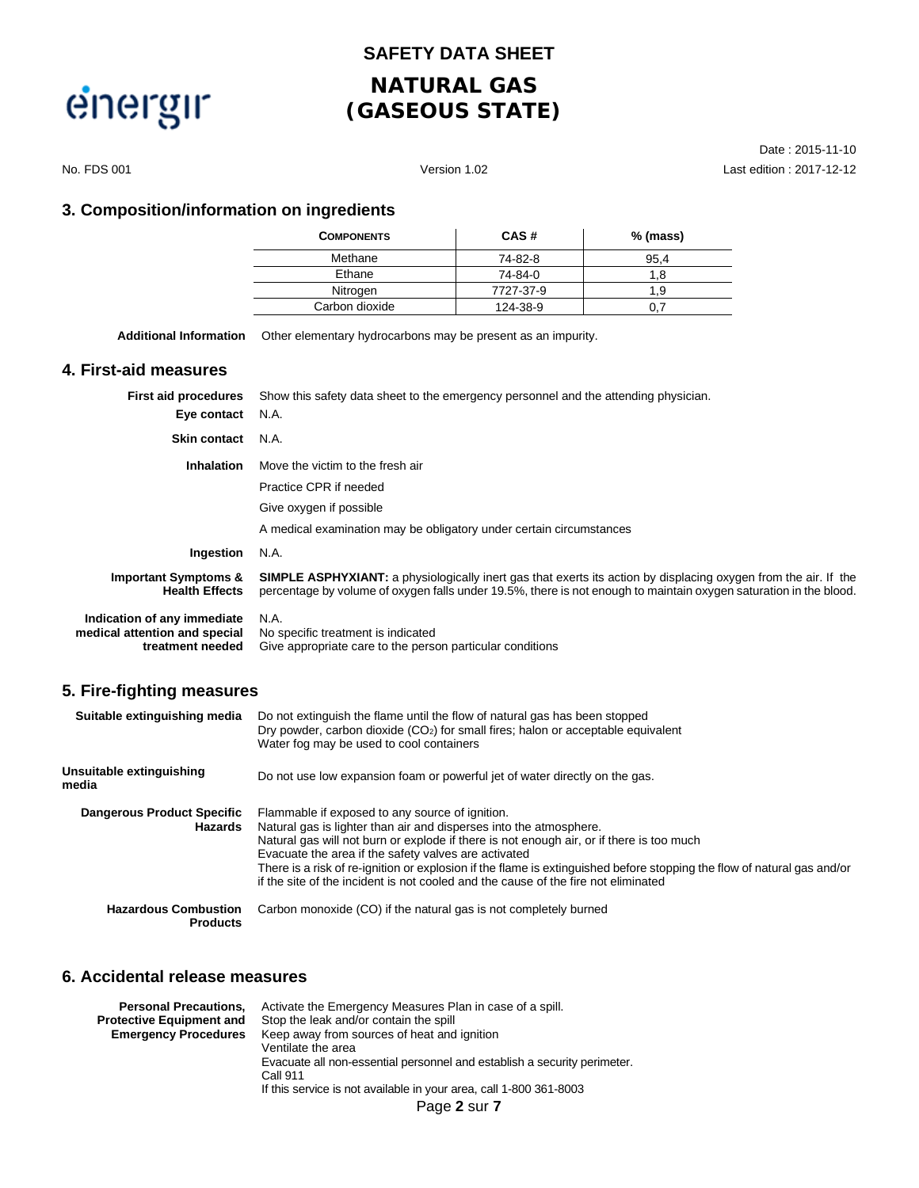**SAFETY DATA SHEET**

# energir

# **NATURAL GAS (GASEOUS STATE)**

Date : 2015-11-10 No. FDS 001 Version 1.02 Last edition : 2017-12-12

#### **3. Composition/information on ingredients**

| <b>COMPONENTS</b> | CAS#      | % (mass) |
|-------------------|-----------|----------|
| Methane           | 74-82-8   | 95.4     |
| Ethane            | 74-84-0   | 8. ا     |
| Nitrogen          | 7727-37-9 | l .9     |
| Carbon dioxide    | 124 38 9  |          |

**Additional Information** Other elementary hydrocarbons may be present as an impurity.

#### **4. First-aid measures**

| <b>First aid procedures</b>                                                      | Show this safety data sheet to the emergency personnel and the attending physician.                                                                                                                                                         |
|----------------------------------------------------------------------------------|---------------------------------------------------------------------------------------------------------------------------------------------------------------------------------------------------------------------------------------------|
| Eye contact                                                                      | N.A.                                                                                                                                                                                                                                        |
| <b>Skin contact</b>                                                              | N.A.                                                                                                                                                                                                                                        |
| <b>Inhalation</b>                                                                | Move the victim to the fresh air                                                                                                                                                                                                            |
|                                                                                  | Practice CPR if needed                                                                                                                                                                                                                      |
|                                                                                  | Give oxygen if possible                                                                                                                                                                                                                     |
|                                                                                  | A medical examination may be obligatory under certain circumstances                                                                                                                                                                         |
| Ingestion                                                                        | N.A.                                                                                                                                                                                                                                        |
| <b>Important Symptoms &amp;</b><br><b>Health Effects</b>                         | <b>SIMPLE ASPHYXIANT:</b> a physiologically inert gas that exerts its action by displacing oxygen from the air. If the<br>percentage by volume of oxygen falls under 19.5%, there is not enough to maintain oxygen saturation in the blood. |
| Indication of any immediate<br>medical attention and special<br>treatment needed | N.A.<br>No specific treatment is indicated<br>Give appropriate care to the person particular conditions                                                                                                                                     |

### **5. Fire-fighting measures**

| Suitable extinguishing media                   | Do not extinguish the flame until the flow of natural gas has been stopped<br>Dry powder, carbon dioxide $(CO2)$ for small fires; halon or acceptable equivalent<br>Water fog may be used to cool containers                                                                                                                                                                                                                                                                               |
|------------------------------------------------|--------------------------------------------------------------------------------------------------------------------------------------------------------------------------------------------------------------------------------------------------------------------------------------------------------------------------------------------------------------------------------------------------------------------------------------------------------------------------------------------|
| Unsuitable extinguishing<br>media              | Do not use low expansion foam or powerful jet of water directly on the gas.                                                                                                                                                                                                                                                                                                                                                                                                                |
| <b>Dangerous Product Specific</b><br>Hazards   | Flammable if exposed to any source of ignition.<br>Natural gas is lighter than air and disperses into the atmosphere.<br>Natural gas will not burn or explode if there is not enough air, or if there is too much<br>Evacuate the area if the safety valves are activated<br>There is a risk of re-ignition or explosion if the flame is extinguished before stopping the flow of natural gas and/or<br>if the site of the incident is not cooled and the cause of the fire not eliminated |
| <b>Hazardous Combustion</b><br><b>Products</b> | Carbon monoxide (CO) if the natural gas is not completely burned                                                                                                                                                                                                                                                                                                                                                                                                                           |

#### **6. Accidental release measures**

| <b>Personal Precautions,</b>    | Activate the Emergency Measures Plan in case of a spill.                 |  |  |  |  |
|---------------------------------|--------------------------------------------------------------------------|--|--|--|--|
| <b>Protective Equipment and</b> | Stop the leak and/or contain the spill                                   |  |  |  |  |
| <b>Emergency Procedures</b>     | Keep away from sources of heat and ignition                              |  |  |  |  |
|                                 | Ventilate the area                                                       |  |  |  |  |
|                                 | Evacuate all non-essential personnel and establish a security perimeter. |  |  |  |  |
|                                 | Call 911                                                                 |  |  |  |  |
|                                 | If this service is not available in your area, call 1-800 361-8003       |  |  |  |  |
|                                 | Page 2 sur 7                                                             |  |  |  |  |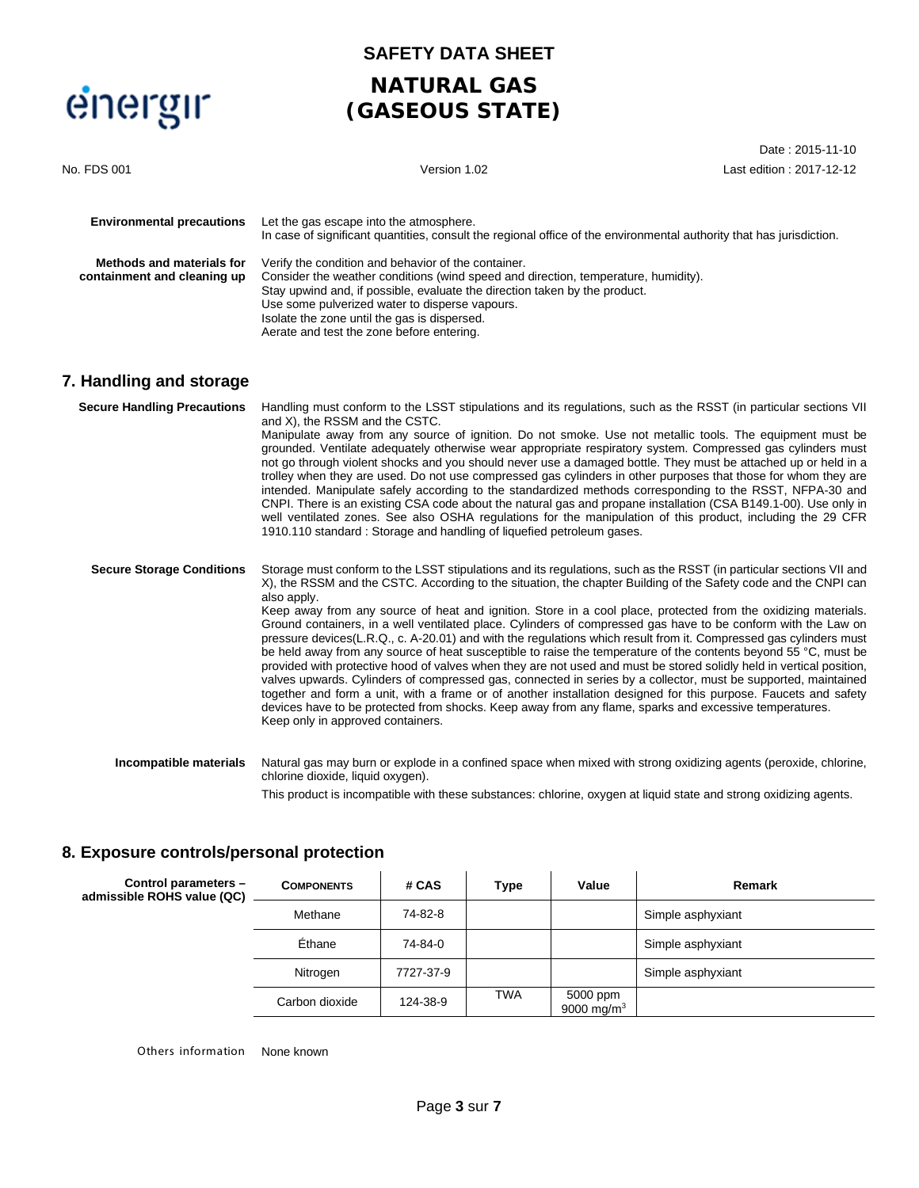

### **SAFETY DATA SHEET**

### **NATURAL GAS (GASEOUS STATE)**

Date : 2015-11-10

| No. FDS 001                                              | Version 1.02                                                                                                                                                                                                                                                                                                                                                           | Last edition: 2017-12-12 |
|----------------------------------------------------------|------------------------------------------------------------------------------------------------------------------------------------------------------------------------------------------------------------------------------------------------------------------------------------------------------------------------------------------------------------------------|--------------------------|
| <b>Environmental precautions</b>                         | Let the gas escape into the atmosphere.<br>In case of significant quantities, consult the regional office of the environmental authority that has jurisdiction.                                                                                                                                                                                                        |                          |
| Methods and materials for<br>containment and cleaning up | Verify the condition and behavior of the container.<br>Consider the weather conditions (wind speed and direction, temperature, humidity).<br>Stay upwind and, if possible, evaluate the direction taken by the product.<br>Use some pulverized water to disperse vapours.<br>Isolate the zone until the gas is dispersed.<br>Aerate and test the zone before entering. |                          |

### **7. Handling and storage**

| <b>Secure Handling Precautions</b> | Handling must conform to the LSST stipulations and its regulations, such as the RSST (in particular sections VII<br>and X), the RSSM and the CSTC.<br>Manipulate away from any source of ignition. Do not smoke. Use not metallic tools. The equipment must be<br>grounded. Ventilate adequately otherwise wear appropriate respiratory system. Compressed gas cylinders must<br>not go through violent shocks and you should never use a damaged bottle. They must be attached up or held in a<br>trolley when they are used. Do not use compressed gas cylinders in other purposes that those for whom they are<br>intended. Manipulate safely according to the standardized methods corresponding to the RSST, NFPA-30 and<br>CNPI. There is an existing CSA code about the natural gas and propane installation (CSA B149.1-00). Use only in<br>well ventilated zones. See also OSHA regulations for the manipulation of this product, including the 29 CFR<br>1910.110 standard: Storage and handling of liquefied petroleum gases.                                                                                                                                                                                                      |
|------------------------------------|-----------------------------------------------------------------------------------------------------------------------------------------------------------------------------------------------------------------------------------------------------------------------------------------------------------------------------------------------------------------------------------------------------------------------------------------------------------------------------------------------------------------------------------------------------------------------------------------------------------------------------------------------------------------------------------------------------------------------------------------------------------------------------------------------------------------------------------------------------------------------------------------------------------------------------------------------------------------------------------------------------------------------------------------------------------------------------------------------------------------------------------------------------------------------------------------------------------------------------------------------|
| <b>Secure Storage Conditions</b>   | Storage must conform to the LSST stipulations and its regulations, such as the RSST (in particular sections VII and<br>X), the RSSM and the CSTC. According to the situation, the chapter Building of the Safety code and the CNPI can<br>also apply.<br>Keep away from any source of heat and ignition. Store in a cool place, protected from the oxidizing materials.<br>Ground containers, in a well ventilated place. Cylinders of compressed gas have to be conform with the Law on<br>pressure devices (L.R.Q., c. A-20.01) and with the regulations which result from it. Compressed gas cylinders must<br>be held away from any source of heat susceptible to raise the temperature of the contents beyond 55 °C, must be<br>provided with protective hood of valves when they are not used and must be stored solidly held in vertical position,<br>valves upwards. Cylinders of compressed gas, connected in series by a collector, must be supported, maintained<br>together and form a unit, with a frame or of another installation designed for this purpose. Faucets and safety<br>devices have to be protected from shocks. Keep away from any flame, sparks and excessive temperatures.<br>Keep only in approved containers. |
| Incompatible materials             | Natural gas may burn or explode in a confined space when mixed with strong oxidizing agents (peroxide, chlorine,<br>chlorine dioxide, liquid oxygen).                                                                                                                                                                                                                                                                                                                                                                                                                                                                                                                                                                                                                                                                                                                                                                                                                                                                                                                                                                                                                                                                                         |

This product is incompatible with these substances: chlorine, oxygen at liquid state and strong oxidizing agents.

### **8. Exposure controls/personal protection**

| Control parameters -<br>admissible ROHS value (QC) | <b>COMPONENTS</b> | # CAS     | Type       | Value                     | Remark            |
|----------------------------------------------------|-------------------|-----------|------------|---------------------------|-------------------|
|                                                    | Methane           | 74-82-8   |            |                           | Simple asphyxiant |
|                                                    | Ethane            | 74-84-0   |            |                           | Simple asphyxiant |
|                                                    | Nitrogen          | 7727-37-9 |            |                           | Simple asphyxiant |
|                                                    | Carbon dioxide    | 124-38-9  | <b>TWA</b> | 5000 ppm<br>9000 mg/m $3$ |                   |

Others information None known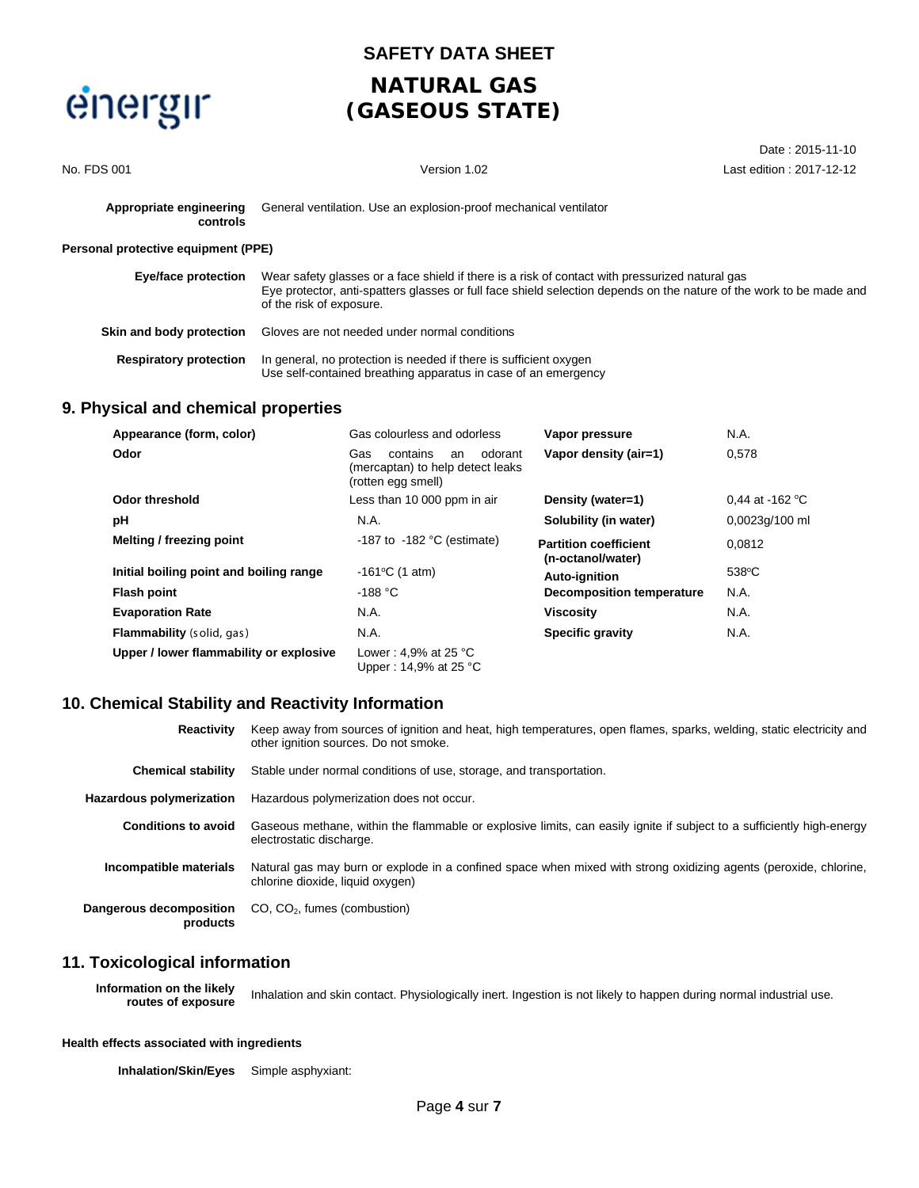### **SAFETY DATA SHEET**

## **NATURAL GAS (GASEOUS STATE)**

| No. FDS 001                         | Version 1.02                                                                                                                                                                                                                                       | Last edition : 2017-12-12 |
|-------------------------------------|----------------------------------------------------------------------------------------------------------------------------------------------------------------------------------------------------------------------------------------------------|---------------------------|
| Appropriate engineering<br>controls | General ventilation. Use an explosion-proof mechanical ventilator                                                                                                                                                                                  |                           |
| Personal protective equipment (PPE) |                                                                                                                                                                                                                                                    |                           |
| <b>Eye/face protection</b>          | Wear safety glasses or a face shield if there is a risk of contact with pressurized natural gas<br>Eye protector, anti-spatters glasses or full face shield selection depends on the nature of the work to be made and<br>of the risk of exposure. |                           |
| Skin and body protection            | Gloves are not needed under normal conditions                                                                                                                                                                                                      |                           |
| <b>Respiratory protection</b>       | In general, no protection is needed if there is sufficient oxygen<br>Use self-contained breathing apparatus in case of an emergency                                                                                                                |                           |

Date : 2015-11-10

#### **9. Physical and chemical properties**

| Appearance (form, color)                | Gas colourless and odorless                                                                | Vapor pressure                                    | N.A.                      |
|-----------------------------------------|--------------------------------------------------------------------------------------------|---------------------------------------------------|---------------------------|
| Odor                                    | Gas<br>contains<br>odorant<br>an<br>(mercaptan) to help detect leaks<br>(rotten egg smell) | Vapor density (air=1)                             | 0.578                     |
| Odor threshold                          | Less than 10 000 ppm in air                                                                | Density (water=1)                                 | 0.44 at -162 $^{\circ}$ C |
| рH                                      | N.A.                                                                                       | Solubility (in water)                             | 0,0023q/100 ml            |
| Melting / freezing point                | -187 to -182 $\degree$ C (estimate)                                                        | <b>Partition coefficient</b><br>(n-octanol/water) | 0.0812                    |
| Initial boiling point and boiling range | $-161^{\circ}$ C (1 atm)                                                                   | Auto-ignition                                     | $538^{\circ}$ C           |
| <b>Flash point</b>                      | -188 $°C$                                                                                  | <b>Decomposition temperature</b>                  | N.A.                      |
| <b>Evaporation Rate</b>                 | N.A.                                                                                       | <b>Viscosity</b>                                  | N.A.                      |
| <b>Flammability</b> (solid, gas)        | N.A.                                                                                       | <b>Specific gravity</b>                           | N.A.                      |
| Upper / lower flammability or explosive | Lower: 4,9% at 25 $^{\circ}$ C<br>Upper: 14,9% at 25 $^{\circ}$ C                          |                                                   |                           |

#### **10. Chemical Stability and Reactivity Information**

| <b>Reactivity</b>                   | Keep away from sources of ignition and heat, high temperatures, open flames, sparks, welding, static electricity and<br>other ignition sources. Do not smoke. |
|-------------------------------------|---------------------------------------------------------------------------------------------------------------------------------------------------------------|
| <b>Chemical stability</b>           | Stable under normal conditions of use, storage, and transportation.                                                                                           |
| Hazardous polymerization            | Hazardous polymerization does not occur.                                                                                                                      |
| <b>Conditions to avoid</b>          | Gaseous methane, within the flammable or explosive limits, can easily ignite if subject to a sufficiently high-energy<br>electrostatic discharge.             |
| Incompatible materials              | Natural gas may burn or explode in a confined space when mixed with strong oxidizing agents (peroxide, chlorine,<br>chlorine dioxide, liquid oxygen)          |
| Dangerous decomposition<br>products | $CO$ , $CO2$ , fumes (combustion)                                                                                                                             |

#### **11. Toxicological information**

**Information on the likely routes of exposure** Inhalation and skin contact. Physiologically inert. Ingestion is not likely to happen during normal industrial use.

#### **Health effects associated with ingredients**

**Inhalation/Skin/Eyes** Simple asphyxiant: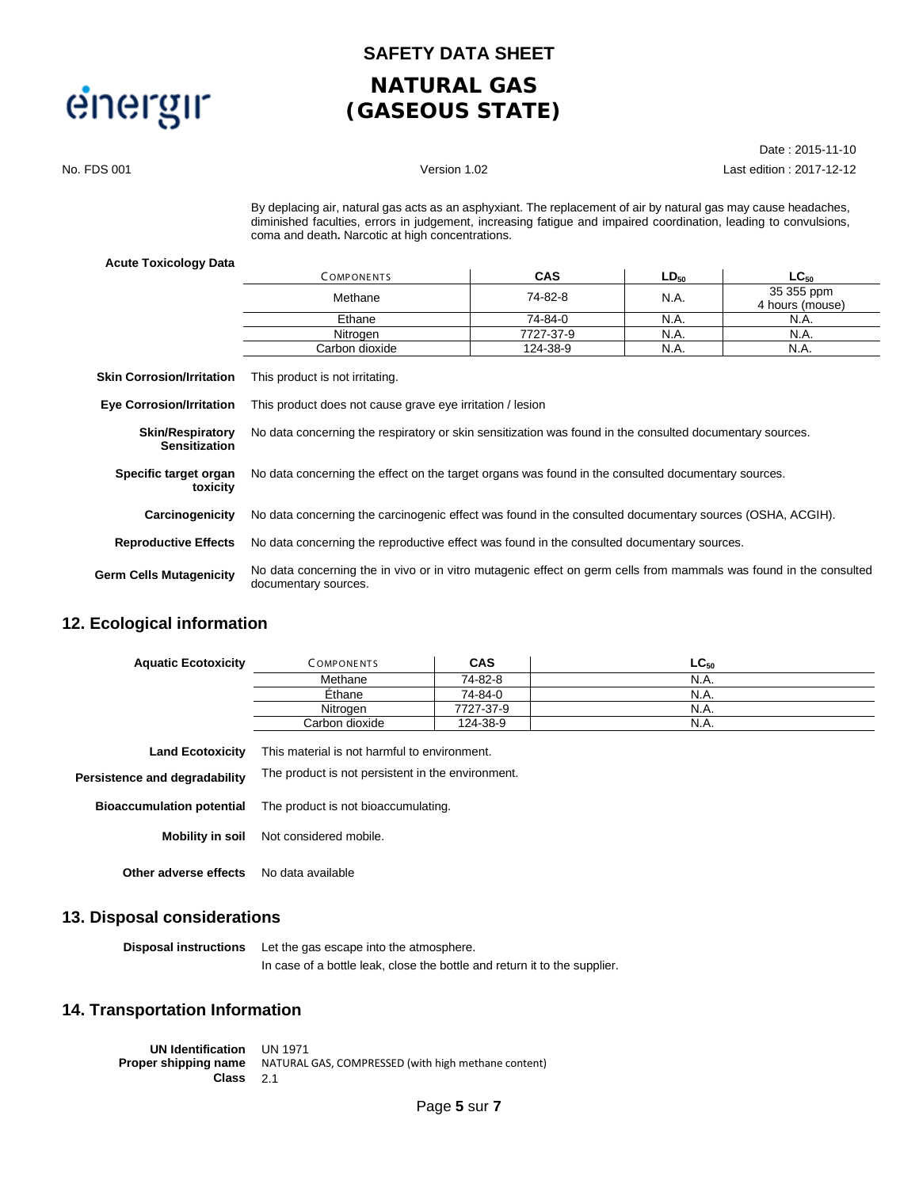#### **SAFETY DATA SHEET**

# **NATURAL GAS (GASEOUS STATE)**

Date : 2015-11-10 No. FDS 001 Version 1.02 Last edition : 2017-12-12

> By deplacing air, natural gas acts as an asphyxiant. The replacement of air by natural gas may cause headaches, diminished faculties, errors in judgement, increasing fatigue and impaired coordination, leading to convulsions, coma and death**.** Narcotic at high concentrations.

#### **Acute Toxicology Data**

|                                                 | <b>COMPONENTS</b>                                                                                                                         | <b>CAS</b> | $LD_{50}$ | $LC_{50}$                     |  |  |
|-------------------------------------------------|-------------------------------------------------------------------------------------------------------------------------------------------|------------|-----------|-------------------------------|--|--|
|                                                 | Methane                                                                                                                                   | 74-82-8    | N.A.      | 35 355 ppm<br>4 hours (mouse) |  |  |
|                                                 | Ethane                                                                                                                                    | 74-84-0    | N.A.      | N.A.                          |  |  |
|                                                 | Nitrogen                                                                                                                                  | 7727-37-9  | N.A.      | N.A.                          |  |  |
|                                                 | Carbon dioxide                                                                                                                            | 124-38-9   | N.A.      | N.A.                          |  |  |
| <b>Skin Corrosion/Irritation</b>                | This product is not irritating.                                                                                                           |            |           |                               |  |  |
| <b>Eye Corrosion/Irritation</b>                 | This product does not cause grave eye irritation / lesion                                                                                 |            |           |                               |  |  |
| <b>Skin/Respiratory</b><br><b>Sensitization</b> | No data concerning the respiratory or skin sensitization was found in the consulted documentary sources.                                  |            |           |                               |  |  |
| Specific target organ<br>toxicity               | No data concerning the effect on the target organs was found in the consulted documentary sources.                                        |            |           |                               |  |  |
| Carcinogenicity                                 | No data concerning the carcinogenic effect was found in the consulted documentary sources (OSHA, ACGIH).                                  |            |           |                               |  |  |
| <b>Reproductive Effects</b>                     | No data concerning the reproductive effect was found in the consulted documentary sources.                                                |            |           |                               |  |  |
| Germ Cells Mutagenicity                         | No data concerning the in vivo or in vitro mutagenic effect on germ cells from mammals was found in the consulted<br>documentary sources. |            |           |                               |  |  |

#### **12. Ecological information**

| <b>Aquatic Ecotoxicity</b> | COMPONENTS     | <b>CAS</b> | $\mathsf{LC}_{50}$ |
|----------------------------|----------------|------------|--------------------|
|                            | Methane        | 74-82-8    | N.A.               |
|                            | Ethane         | 74-84-0    | N.A.               |
|                            | Nitrogen       | 7727-37-9  | N.A.               |
|                            | Carbon dioxide | 124-38-9   | N.A.               |

| <b>Land Ecotoxicity</b>          | This material is not harmful to environment.      |
|----------------------------------|---------------------------------------------------|
| Persistence and degradability    | The product is not persistent in the environment. |
| <b>Bioaccumulation potential</b> | The product is not bioaccumulating.               |
|                                  | <b>Mobility in soil</b> Not considered mobile.    |
| Other adverse effects            | No data available                                 |

#### **13. Disposal considerations**

**Disposal instructions** Let the gas escape into the atmosphere. In case of a bottle leak, close the bottle and return it to the supplier.

#### **14. Transportation Information**

**UN Identification** UN 1971 **Proper shipping name** NATURAL GAS, COMPRESSED (with high methane content) **Class** 2.1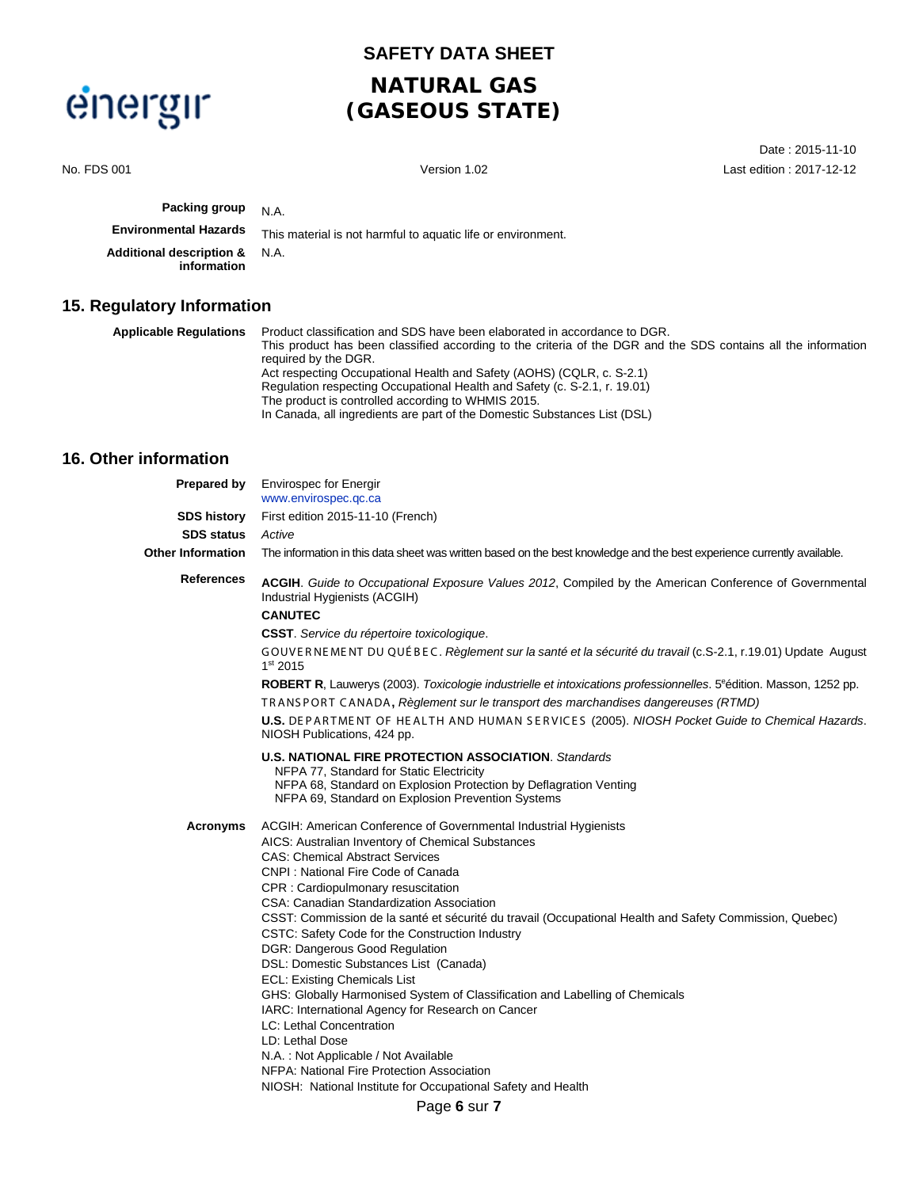### **SAFETY DATA SHEET**

# **NATURAL GAS (GASEOUS STATE)**

Date : 2015-11-10 No. FDS 001 Version 1.02 Last edition : 2017-12-12 **Packing group** N.A. **Environmental Hazards** This material is not harmful to aquatic life or environment. **Additional description & information** N.A. **15. Regulatory Information Applicable Regulations** Product classification and SDS have been elaborated in accordance to DGR. This product has been classified according to the criteria of the DGR and the SDS contains all the information required by the DGR. Act respecting Occupational Health and Safety (AOHS) (CQLR, c. S-2.1) Regulation respecting Occupational Health and Safety (c. S-2.1, r. 19.01) The product is controlled according to WHMIS 2015. In Canada, all ingredients are part of the Domestic Substances List (DSL) **16. Other information Prepared by** Envirospec for Energir [www.envirospec.qc.ca](http://www.envirospec.qc.ca/) **SDS history** First edition 2015-11-10 (French) **SDS status** *Active* Other Information The information in this data sheet was written based on the best knowledge and the best experience currently available. **References ACGIH**. *Guide to Occupational Exposure Values 2012*, Compiled by the American Conference of Governmental

Industrial Hygienists (ACGIH)

**CANUTEC**

**CSST**. *Service du répertoire toxicologique*.

GOUVE R NE ME NT DU QUÉ B E C. *Règlement sur la santé et la sécurité du travail* (c.S-2.1, r.19.01) Update August 1st 2015

[ROBERT R](http://www.bulhosa.pt/search.ud121?trigger_pre_event_0=search_result&trigger_event_0=print_search_result&search_criteria=%5E%A7UP.author%A8%3DROBERT+R.+LAUWERYS&from_zone=&UDSID=%C2%A7%C2%A7%C2%A7%C2%A7051109301835370127498307%C2%A7%C2%A7%C2%A7%C2%A7), Lauwerys (2003). Toxicologie industrielle et intoxications professionnelles. 5<sup>e</sup>édition. Masson, 1252 pp.

TR ANS POR T CANADA**,** *Règlement sur le transport des marchandises dangereuses (RTMD)*

**U.S.** DE P AR TME NT OF HE ALTH AND HUMAN S E R VICE S (2005). *NIOSH Pocket Guide to Chemical Hazards*. NIOSH Publications, 424 pp.

**U.S. NATIONAL FIRE PROTECTION ASSOCIATION**. *Standards*

NFPA 77, Standard for Static Electricity

NFPA 68, Standard on Explosion Protection by Deflagration Venting NFPA 69, Standard on Explosion Prevention Systems

**Acronyms** ACGIH: American Conference of Governmental Industrial Hygienists

AICS: Australian Inventory of Chemical Substances

CAS: Chemical Abstract Services

CNPI : National Fire Code of Canada

CPR : Cardiopulmonary resuscitation

CSA: Canadian Standardization Association

- CSST: Commission de la santé et sécurité du travail (Occupational Health and Safety Commission, Quebec)
- CSTC: Safety Code for the Construction Industry
- DGR: Dangerous Good Regulation
- DSL: Domestic Substances List (Canada)
- ECL: Existing Chemicals List
- GHS: Globally Harmonised System of Classification and Labelling of Chemicals
- IARC: International Agency for Research on Cancer
- LC: Lethal Concentration

LD: Lethal Dose

- N.A. : Not Applicable / Not Available
- NFPA: National Fire Protection Association

NIOSH: National Institute for Occupational Safety and Health